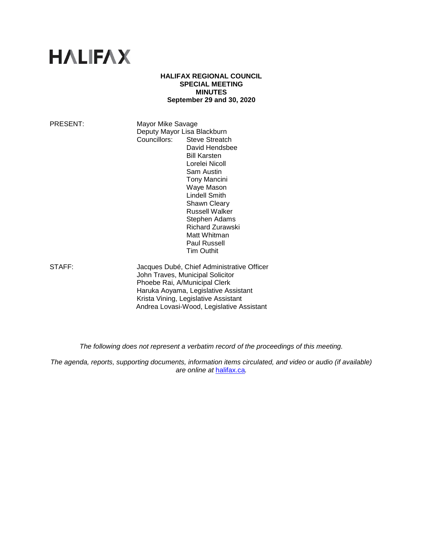# **HALIFAX**

## **HALIFAX REGIONAL COUNCIL SPECIAL MEETING MINUTES September 29 and 30, 2020**

PRESENT: Mayor Mike Savage Deputy Mayor Lisa Blackburn<br>Councillors: Steve Streatc Steve Streatch David Hendsbee Bill Karsten Lorelei Nicoll Sam Austin Tony Mancini Waye Mason Lindell Smith Shawn Cleary Russell Walker Stephen Adams Richard Zurawski Matt Whitman

STAFF: Jacques Dubé, Chief Administrative Officer John Traves, Municipal Solicitor Phoebe Rai, A/Municipal Clerk Haruka Aoyama, Legislative Assistant Krista Vining, Legislative Assistant Andrea Lovasi-Wood, Legislative Assistant

Paul Russell Tim Outhit

*The following does not represent a verbatim record of the proceedings of this meeting.*

*The agenda, reports, supporting documents, information items circulated, and video or audio (if available) are online at* [halifax.ca](http://www.halifax.ca/)*.*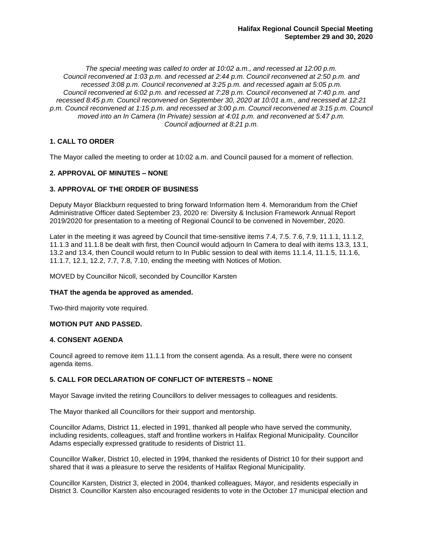*The special meeting was called to order at 10:02 a.m., and recessed at 12:00 p.m. Council reconvened at 1:03 p.m. and recessed at 2:44 p.m. Council reconvened at 2:50 p.m. and recessed 3:08 p.m. Council reconvened at 3:25 p.m. and recessed again at 5:05 p.m. Council reconvened at 6:02 p.m. and recessed at 7:28 p.m. Council reconvened at 7:40 p.m. and recessed 8:45 p.m. Council reconvened on September 30, 2020 at 10:01 a.m., and recessed at 12:21 p.m. Council reconvened at 1:15 p.m. and recessed at 3:00 p.m. Council reconvened at 3:15 p.m. Council moved into an In Camera (In Private) session at 4:01 p.m. and reconvened at 5:47 p.m. Council adjourned at 8:21 p.m.*

# **1. CALL TO ORDER**

The Mayor called the meeting to order at 10:02 a.m. and Council paused for a moment of reflection.

# **2. APPROVAL OF MINUTES – NONE**

# **3. APPROVAL OF THE ORDER OF BUSINESS**

Deputy Mayor Blackburn requested to bring forward Information Item 4. Memorandum from the Chief Administrative Officer dated September 23, 2020 re: Diversity & Inclusion Framework Annual Report 2019/2020 for presentation to a meeting of Regional Council to be convened in November, 2020.

Later in the meeting it was agreed by Council that time-sensitive items 7.4, 7.5. 7.6, 7.9, 11.1.1, 11.1.2, 11.1.3 and 11.1.8 be dealt with first, then Council would adjourn In Camera to deal with items 13.3, 13.1, 13.2 and 13.4, then Council would return to In Public session to deal with items 11.1.4, 11.1.5, 11.1.6, 11.1.7, 12.1, 12.2, 7.7, 7.8, 7.10, ending the meeting with Notices of Motion.

MOVED by Councillor Nicoll, seconded by Councillor Karsten

## **THAT the agenda be approved as amended.**

Two-third majority vote required.

# **MOTION PUT AND PASSED.**

## **4. CONSENT AGENDA**

Council agreed to remove item 11.1.1 from the consent agenda. As a result, there were no consent agenda items.

# **5. CALL FOR DECLARATION OF CONFLICT OF INTERESTS – NONE**

Mayor Savage invited the retiring Councillors to deliver messages to colleagues and residents.

The Mayor thanked all Councillors for their support and mentorship.

Councillor Adams, District 11, elected in 1991, thanked all people who have served the community, including residents, colleagues, staff and frontline workers in Halifax Regional Municipality. Councillor Adams especially expressed gratitude to residents of District 11.

Councillor Walker, District 10, elected in 1994, thanked the residents of District 10 for their support and shared that it was a pleasure to serve the residents of Halifax Regional Municipality.

Councillor Karsten, District 3, elected in 2004, thanked colleagues, Mayor, and residents especially in District 3. Councillor Karsten also encouraged residents to vote in the October 17 municipal election and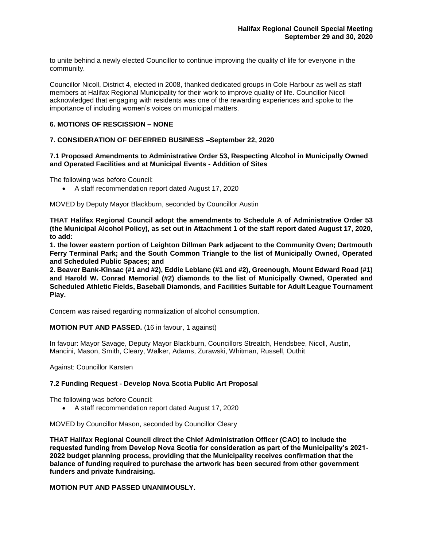to unite behind a newly elected Councillor to continue improving the quality of life for everyone in the community.

Councillor Nicoll, District 4, elected in 2008, thanked dedicated groups in Cole Harbour as well as staff members at Halifax Regional Municipality for their work to improve quality of life. Councillor Nicoll acknowledged that engaging with residents was one of the rewarding experiences and spoke to the importance of including women's voices on municipal matters.

# **6. MOTIONS OF RESCISSION – NONE**

# **7. CONSIDERATION OF DEFERRED BUSINESS –September 22, 2020**

## **7.1 Proposed Amendments to Administrative Order 53, Respecting Alcohol in Municipally Owned and Operated Facilities and at Municipal Events - Addition of Sites**

The following was before Council:

• A staff recommendation report dated August 17, 2020

MOVED by Deputy Mayor Blackburn, seconded by Councillor Austin

**THAT Halifax Regional Council adopt the amendments to Schedule A of Administrative Order 53 (the Municipal Alcohol Policy), as set out in Attachment 1 of the staff report dated August 17, 2020, to add:**

**1. the lower eastern portion of Leighton Dillman Park adjacent to the Community Oven; Dartmouth Ferry Terminal Park; and the South Common Triangle to the list of Municipally Owned, Operated and Scheduled Public Spaces; and**

**2. Beaver Bank-Kinsac (#1 and #2), Eddie Leblanc (#1 and #2), Greenough, Mount Edward Road (#1) and Harold W. Conrad Memorial (#2) diamonds to the list of Municipally Owned, Operated and Scheduled Athletic Fields, Baseball Diamonds, and Facilities Suitable for Adult League Tournament Play.** 

Concern was raised regarding normalization of alcohol consumption.

## **MOTION PUT AND PASSED.** (16 in favour, 1 against)

In favour: Mayor Savage, Deputy Mayor Blackburn, Councillors Streatch, Hendsbee, Nicoll, Austin, Mancini, Mason, Smith, Cleary, Walker, Adams, Zurawski, Whitman, Russell, Outhit

Against: Councillor Karsten

## **7.2 Funding Request - Develop Nova Scotia Public Art Proposal**

The following was before Council:

• A staff recommendation report dated August 17, 2020

MOVED by Councillor Mason, seconded by Councillor Cleary

**THAT Halifax Regional Council direct the Chief Administration Officer (CAO) to include the requested funding from Develop Nova Scotia for consideration as part of the Municipality's 2021- 2022 budget planning process, providing that the Municipality receives confirmation that the balance of funding required to purchase the artwork has been secured from other government funders and private fundraising.**

# **MOTION PUT AND PASSED UNANIMOUSLY.**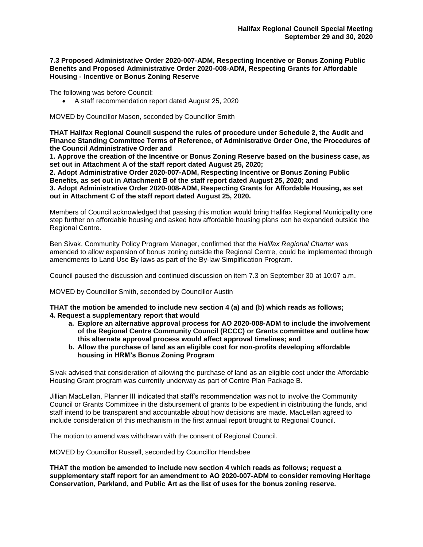## **7.3 Proposed Administrative Order 2020-007-ADM, Respecting Incentive or Bonus Zoning Public Benefits and Proposed Administrative Order 2020-008-ADM, Respecting Grants for Affordable Housing - Incentive or Bonus Zoning Reserve**

The following was before Council:

• A staff recommendation report dated August 25, 2020

MOVED by Councillor Mason, seconded by Councillor Smith

**THAT Halifax Regional Council suspend the rules of procedure under Schedule 2, the Audit and Finance Standing Committee Terms of Reference, of Administrative Order One, the Procedures of the Council Administrative Order and**

**1. Approve the creation of the Incentive or Bonus Zoning Reserve based on the business case, as set out in Attachment A of the staff report dated August 25, 2020;**

**2. Adopt Administrative Order 2020-007-ADM, Respecting Incentive or Bonus Zoning Public Benefits, as set out in Attachment B of the staff report dated August 25, 2020; and 3. Adopt Administrative Order 2020-008-ADM, Respecting Grants for Affordable Housing, as set out in Attachment C of the staff report dated August 25, 2020.** 

Members of Council acknowledged that passing this motion would bring Halifax Regional Municipality one step further on affordable housing and asked how affordable housing plans can be expanded outside the Regional Centre.

Ben Sivak, Community Policy Program Manager, confirmed that the *Halifax Regional Charter* was amended to allow expansion of bonus zoning outside the Regional Centre, could be implemented through amendments to Land Use By-laws as part of the By-law Simplification Program.

Council paused the discussion and continued discussion on item 7.3 on September 30 at 10:07 a.m.

MOVED by Councillor Smith, seconded by Councillor Austin

**THAT the motion be amended to include new section 4 (a) and (b) which reads as follows; 4. Request a supplementary report that would** 

- **a. Explore an alternative approval process for AO 2020-008-ADM to include the involvement of the Regional Centre Community Council (RCCC) or Grants committee and outline how this alternate approval process would affect approval timelines; and**
- **b. Allow the purchase of land as an eligible cost for non-profits developing affordable housing in HRM's Bonus Zoning Program**

Sivak advised that consideration of allowing the purchase of land as an eligible cost under the Affordable Housing Grant program was currently underway as part of Centre Plan Package B.

Jillian MacLellan, Planner III indicated that staff's recommendation was not to involve the Community Council or Grants Committee in the disbursement of grants to be expedient in distributing the funds, and staff intend to be transparent and accountable about how decisions are made. MacLellan agreed to include consideration of this mechanism in the first annual report brought to Regional Council.

The motion to amend was withdrawn with the consent of Regional Council.

MOVED by Councillor Russell, seconded by Councillor Hendsbee

**THAT the motion be amended to include new section 4 which reads as follows; request a supplementary staff report for an amendment to AO 2020-007-ADM to consider removing Heritage Conservation, Parkland, and Public Art as the list of uses for the bonus zoning reserve.**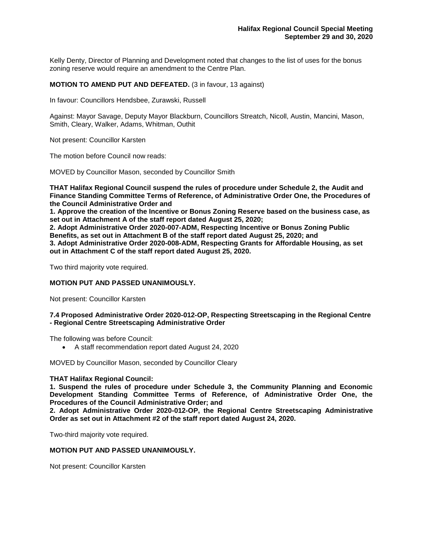Kelly Denty, Director of Planning and Development noted that changes to the list of uses for the bonus zoning reserve would require an amendment to the Centre Plan.

# **MOTION TO AMEND PUT AND DEFEATED.** (3 in favour, 13 against)

In favour: Councillors Hendsbee, Zurawski, Russell

Against: Mayor Savage, Deputy Mayor Blackburn, Councillors Streatch, Nicoll, Austin, Mancini, Mason, Smith, Cleary, Walker, Adams, Whitman, Outhit

Not present: Councillor Karsten

The motion before Council now reads:

MOVED by Councillor Mason, seconded by Councillor Smith

**THAT Halifax Regional Council suspend the rules of procedure under Schedule 2, the Audit and Finance Standing Committee Terms of Reference, of Administrative Order One, the Procedures of the Council Administrative Order and**

**1. Approve the creation of the Incentive or Bonus Zoning Reserve based on the business case, as set out in Attachment A of the staff report dated August 25, 2020;**

**2. Adopt Administrative Order 2020-007-ADM, Respecting Incentive or Bonus Zoning Public Benefits, as set out in Attachment B of the staff report dated August 25, 2020; and**

**3. Adopt Administrative Order 2020-008-ADM, Respecting Grants for Affordable Housing, as set out in Attachment C of the staff report dated August 25, 2020.** 

Two third majority vote required.

## **MOTION PUT AND PASSED UNANIMOUSLY.**

Not present: Councillor Karsten

## **7.4 Proposed Administrative Order 2020-012-OP, Respecting Streetscaping in the Regional Centre - Regional Centre Streetscaping Administrative Order**

The following was before Council:

• A staff recommendation report dated August 24, 2020

MOVED by Councillor Mason, seconded by Councillor Cleary

#### **THAT Halifax Regional Council:**

**1. Suspend the rules of procedure under Schedule 3, the Community Planning and Economic Development Standing Committee Terms of Reference, of Administrative Order One, the Procedures of the Council Administrative Order; and**

**2. Adopt Administrative Order 2020-012-OP, the Regional Centre Streetscaping Administrative Order as set out in Attachment #2 of the staff report dated August 24, 2020.**

Two-third majority vote required.

## **MOTION PUT AND PASSED UNANIMOUSLY.**

Not present: Councillor Karsten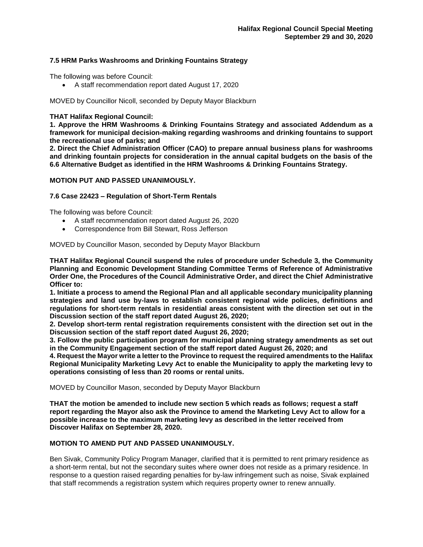# **7.5 HRM Parks Washrooms and Drinking Fountains Strategy**

The following was before Council:

• A staff recommendation report dated August 17, 2020

MOVED by Councillor Nicoll, seconded by Deputy Mayor Blackburn

# **THAT Halifax Regional Council:**

**1. Approve the HRM Washrooms & Drinking Fountains Strategy and associated Addendum as a framework for municipal decision-making regarding washrooms and drinking fountains to support the recreational use of parks; and**

**2. Direct the Chief Administration Officer (CAO) to prepare annual business plans for washrooms and drinking fountain projects for consideration in the annual capital budgets on the basis of the 6.6 Alternative Budget as identified in the HRM Washrooms & Drinking Fountains Strategy.**

# **MOTION PUT AND PASSED UNANIMOUSLY.**

# **7.6 Case 22423 – Regulation of Short-Term Rentals**

The following was before Council:

- A staff recommendation report dated August 26, 2020
- Correspondence from Bill Stewart, Ross Jefferson

MOVED by Councillor Mason, seconded by Deputy Mayor Blackburn

**THAT Halifax Regional Council suspend the rules of procedure under Schedule 3, the Community Planning and Economic Development Standing Committee Terms of Reference of Administrative Order One, the Procedures of the Council Administrative Order, and direct the Chief Administrative Officer to:**

**1. Initiate a process to amend the Regional Plan and all applicable secondary municipality planning strategies and land use by-laws to establish consistent regional wide policies, definitions and regulations for short-term rentals in residential areas consistent with the direction set out in the Discussion section of the staff report dated August 26, 2020;** 

**2. Develop short-term rental registration requirements consistent with the direction set out in the Discussion section of the staff report dated August 26, 2020;** 

**3. Follow the public participation program for municipal planning strategy amendments as set out in the Community Engagement section of the staff report dated August 26, 2020; and**

**4. Request the Mayor write a letter to the Province to request the required amendments to the Halifax Regional Municipality Marketing Levy Act to enable the Municipality to apply the marketing levy to operations consisting of less than 20 rooms or rental units.**

MOVED by Councillor Mason, seconded by Deputy Mayor Blackburn

**THAT the motion be amended to include new section 5 which reads as follows; request a staff report regarding the Mayor also ask the Province to amend the Marketing Levy Act to allow for a possible increase to the maximum marketing levy as described in the letter received from Discover Halifax on September 28, 2020.**

## **MOTION TO AMEND PUT AND PASSED UNANIMOUSLY.**

Ben Sivak, Community Policy Program Manager, clarified that it is permitted to rent primary residence as a short-term rental, but not the secondary suites where owner does not reside as a primary residence. In response to a question raised regarding penalties for by-law infringement such as noise, Sivak explained that staff recommends a registration system which requires property owner to renew annually.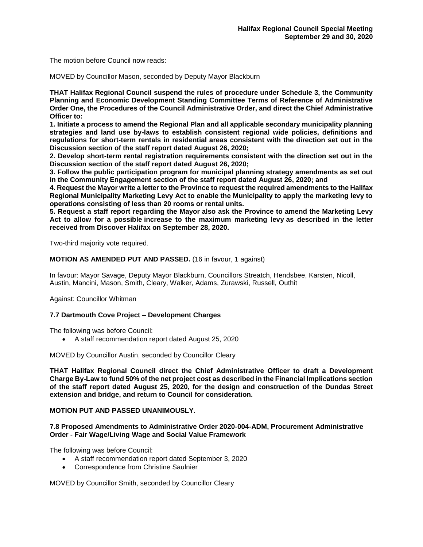The motion before Council now reads:

MOVED by Councillor Mason, seconded by Deputy Mayor Blackburn

**THAT Halifax Regional Council suspend the rules of procedure under Schedule 3, the Community Planning and Economic Development Standing Committee Terms of Reference of Administrative Order One, the Procedures of the Council Administrative Order, and direct the Chief Administrative Officer to:**

**1. Initiate a process to amend the Regional Plan and all applicable secondary municipality planning strategies and land use by-laws to establish consistent regional wide policies, definitions and regulations for short-term rentals in residential areas consistent with the direction set out in the Discussion section of the staff report dated August 26, 2020;** 

**2. Develop short-term rental registration requirements consistent with the direction set out in the Discussion section of the staff report dated August 26, 2020;** 

**3. Follow the public participation program for municipal planning strategy amendments as set out in the Community Engagement section of the staff report dated August 26, 2020; and**

**4. Request the Mayor write a letter to the Province to request the required amendments to the Halifax Regional Municipality Marketing Levy Act to enable the Municipality to apply the marketing levy to operations consisting of less than 20 rooms or rental units.**

**5. Request a staff report regarding the Mayor also ask the Province to amend the Marketing Levy Act to allow for a possible increase to the maximum marketing levy as described in the letter received from Discover Halifax on September 28, 2020.**

Two-third majority vote required.

**MOTION AS AMENDED PUT AND PASSED.** (16 in favour, 1 against)

In favour: Mayor Savage, Deputy Mayor Blackburn, Councillors Streatch, Hendsbee, Karsten, Nicoll, Austin, Mancini, Mason, Smith, Cleary, Walker, Adams, Zurawski, Russell, Outhit

Against: Councillor Whitman

## **7.7 Dartmouth Cove Project – Development Charges**

The following was before Council:

• A staff recommendation report dated August 25, 2020

MOVED by Councillor Austin, seconded by Councillor Cleary

**THAT Halifax Regional Council direct the Chief Administrative Officer to draft a Development Charge By-Law to fund 50% of the net project cost as described in the Financial Implications section of the staff report dated August 25, 2020, for the design and construction of the Dundas Street extension and bridge, and return to Council for consideration.** 

## **MOTION PUT AND PASSED UNANIMOUSLY.**

## **7.8 Proposed Amendments to Administrative Order 2020-004-ADM, Procurement Administrative Order - Fair Wage/Living Wage and Social Value Framework**

The following was before Council:

- A staff recommendation report dated September 3, 2020
- Correspondence from Christine Saulnier

MOVED by Councillor Smith, seconded by Councillor Cleary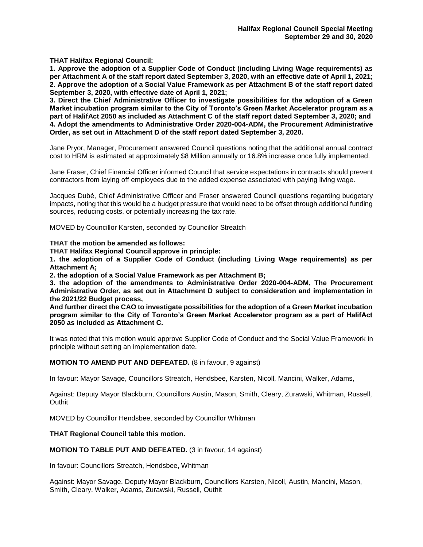**THAT Halifax Regional Council:**

**1. Approve the adoption of a Supplier Code of Conduct (including Living Wage requirements) as per Attachment A of the staff report dated September 3, 2020, with an effective date of April 1, 2021; 2. Approve the adoption of a Social Value Framework as per Attachment B of the staff report dated September 3, 2020, with effective date of April 1, 2021;**

**3. Direct the Chief Administrative Officer to investigate possibilities for the adoption of a Green Market incubation program similar to the City of Toronto's Green Market Accelerator program as a part of HalifAct 2050 as included as Attachment C of the staff report dated September 3, 2020; and 4. Adopt the amendments to Administrative Order 2020-004-ADM, the Procurement Administrative Order, as set out in Attachment D of the staff report dated September 3, 2020.**

Jane Pryor, Manager, Procurement answered Council questions noting that the additional annual contract cost to HRM is estimated at approximately \$8 Million annually or 16.8% increase once fully implemented.

Jane Fraser, Chief Financial Officer informed Council that service expectations in contracts should prevent contractors from laying off employees due to the added expense associated with paying living wage.

Jacques Dubé, Chief Administrative Officer and Fraser answered Council questions regarding budgetary impacts, noting that this would be a budget pressure that would need to be offset through additional funding sources, reducing costs, or potentially increasing the tax rate.

MOVED by Councillor Karsten, seconded by Councillor Streatch

**THAT the motion be amended as follows:**

**THAT Halifax Regional Council approve in principle:**

**1. the adoption of a Supplier Code of Conduct (including Living Wage requirements) as per Attachment A;**

**2. the adoption of a Social Value Framework as per Attachment B;**

**3. the adoption of the amendments to Administrative Order 2020-004-ADM, The Procurement Administrative Order, as set out in Attachment D subject to consideration and implementation in the 2021/22 Budget process,**

**And further direct the CAO to investigate possibilities for the adoption of a Green Market incubation program similar to the City of Toronto's Green Market Accelerator program as a part of HalifAct 2050 as included as Attachment C.**

It was noted that this motion would approve Supplier Code of Conduct and the Social Value Framework in principle without setting an implementation date.

**MOTION TO AMEND PUT AND DEFEATED.** (8 in favour, 9 against)

In favour: Mayor Savage, Councillors Streatch, Hendsbee, Karsten, Nicoll, Mancini, Walker, Adams,

Against: Deputy Mayor Blackburn, Councillors Austin, Mason, Smith, Cleary, Zurawski, Whitman, Russell, **Outhit** 

MOVED by Councillor Hendsbee, seconded by Councillor Whitman

## **THAT Regional Council table this motion.**

**MOTION TO TABLE PUT AND DEFEATED.** (3 in favour, 14 against)

In favour: Councillors Streatch, Hendsbee, Whitman

Against: Mayor Savage, Deputy Mayor Blackburn, Councillors Karsten, Nicoll, Austin, Mancini, Mason, Smith, Cleary, Walker, Adams, Zurawski, Russell, Outhit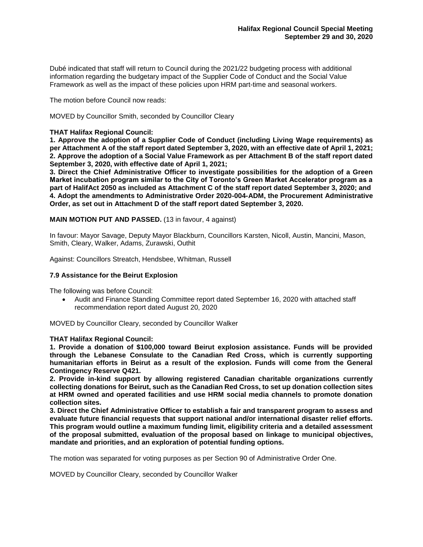Dubé indicated that staff will return to Council during the 2021/22 budgeting process with additional information regarding the budgetary impact of the Supplier Code of Conduct and the Social Value Framework as well as the impact of these policies upon HRM part-time and seasonal workers.

The motion before Council now reads:

MOVED by Councillor Smith, seconded by Councillor Cleary

## **THAT Halifax Regional Council:**

**1. Approve the adoption of a Supplier Code of Conduct (including Living Wage requirements) as per Attachment A of the staff report dated September 3, 2020, with an effective date of April 1, 2021; 2. Approve the adoption of a Social Value Framework as per Attachment B of the staff report dated September 3, 2020, with effective date of April 1, 2021;**

**3. Direct the Chief Administrative Officer to investigate possibilities for the adoption of a Green Market incubation program similar to the City of Toronto's Green Market Accelerator program as a part of HalifAct 2050 as included as Attachment C of the staff report dated September 3, 2020; and 4. Adopt the amendments to Administrative Order 2020-004-ADM, the Procurement Administrative Order, as set out in Attachment D of the staff report dated September 3, 2020.**

**MAIN MOTION PUT AND PASSED.** (13 in favour, 4 against)

In favour: Mayor Savage, Deputy Mayor Blackburn, Councillors Karsten, Nicoll, Austin, Mancini, Mason, Smith, Cleary, Walker, Adams, Zurawski, Outhit

Against: Councillors Streatch, Hendsbee, Whitman, Russell

## **7.9 Assistance for the Beirut Explosion**

The following was before Council:

• Audit and Finance Standing Committee report dated September 16, 2020 with attached staff recommendation report dated August 20, 2020

MOVED by Councillor Cleary, seconded by Councillor Walker

#### **THAT Halifax Regional Council:**

**1. Provide a donation of \$100,000 toward Beirut explosion assistance. Funds will be provided through the Lebanese Consulate to the Canadian Red Cross, which is currently supporting humanitarian efforts in Beirut as a result of the explosion. Funds will come from the General Contingency Reserve Q421.**

**2. Provide in-kind support by allowing registered Canadian charitable organizations currently collecting donations for Beirut, such as the Canadian Red Cross, to set up donation collection sites at HRM owned and operated facilities and use HRM social media channels to promote donation collection sites.** 

**3. Direct the Chief Administrative Officer to establish a fair and transparent program to assess and evaluate future financial requests that support national and/or international disaster relief efforts. This program would outline a maximum funding limit, eligibility criteria and a detailed assessment of the proposal submitted, evaluation of the proposal based on linkage to municipal objectives, mandate and priorities, and an exploration of potential funding options.**

The motion was separated for voting purposes as per Section 90 of Administrative Order One.

MOVED by Councillor Cleary, seconded by Councillor Walker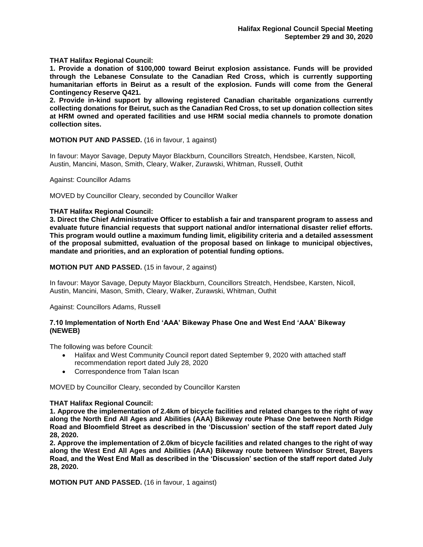**THAT Halifax Regional Council:**

**1. Provide a donation of \$100,000 toward Beirut explosion assistance. Funds will be provided through the Lebanese Consulate to the Canadian Red Cross, which is currently supporting humanitarian efforts in Beirut as a result of the explosion. Funds will come from the General Contingency Reserve Q421.**

**2. Provide in-kind support by allowing registered Canadian charitable organizations currently collecting donations for Beirut, such as the Canadian Red Cross, to set up donation collection sites at HRM owned and operated facilities and use HRM social media channels to promote donation collection sites.** 

**MOTION PUT AND PASSED.** (16 in favour, 1 against)

In favour: Mayor Savage, Deputy Mayor Blackburn, Councillors Streatch, Hendsbee, Karsten, Nicoll, Austin, Mancini, Mason, Smith, Cleary, Walker, Zurawski, Whitman, Russell, Outhit

Against: Councillor Adams

MOVED by Councillor Cleary, seconded by Councillor Walker

## **THAT Halifax Regional Council:**

**3. Direct the Chief Administrative Officer to establish a fair and transparent program to assess and evaluate future financial requests that support national and/or international disaster relief efforts. This program would outline a maximum funding limit, eligibility criteria and a detailed assessment of the proposal submitted, evaluation of the proposal based on linkage to municipal objectives, mandate and priorities, and an exploration of potential funding options.**

**MOTION PUT AND PASSED.** (15 in favour, 2 against)

In favour: Mayor Savage, Deputy Mayor Blackburn, Councillors Streatch, Hendsbee, Karsten, Nicoll, Austin, Mancini, Mason, Smith, Cleary, Walker, Zurawski, Whitman, Outhit

Against: Councillors Adams, Russell

## **7.10 Implementation of North End 'AAA' Bikeway Phase One and West End 'AAA' Bikeway (NEWEB)**

The following was before Council:

- Halifax and West Community Council report dated September 9, 2020 with attached staff recommendation report dated July 28, 2020
- Correspondence from Talan Iscan

MOVED by Councillor Cleary, seconded by Councillor Karsten

## **THAT Halifax Regional Council:**

**1. Approve the implementation of 2.4km of bicycle facilities and related changes to the right of way along the North End All Ages and Abilities (AAA) Bikeway route Phase One between North Ridge Road and Bloomfield Street as described in the 'Discussion' section of the staff report dated July 28, 2020.** 

**2. Approve the implementation of 2.0km of bicycle facilities and related changes to the right of way along the West End All Ages and Abilities (AAA) Bikeway route between Windsor Street, Bayers Road, and the West End Mall as described in the 'Discussion' section of the staff report dated July 28, 2020.**

**MOTION PUT AND PASSED.** (16 in favour, 1 against)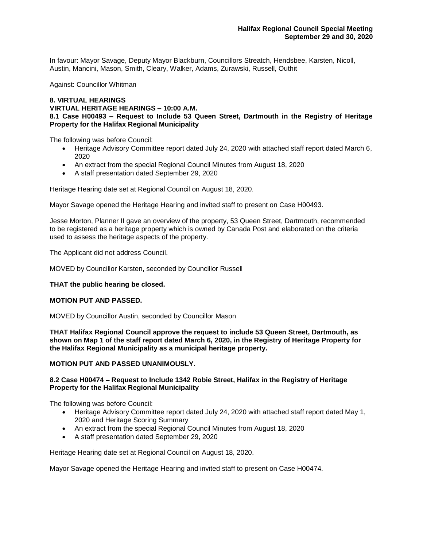In favour: Mayor Savage, Deputy Mayor Blackburn, Councillors Streatch, Hendsbee, Karsten, Nicoll, Austin, Mancini, Mason, Smith, Cleary, Walker, Adams, Zurawski, Russell, Outhit

Against: Councillor Whitman

## **8. VIRTUAL HEARINGS VIRTUAL HERITAGE HEARINGS – 10:00 A.M. 8.1 Case H00493 – Request to Include 53 Queen Street, Dartmouth in the Registry of Heritage Property for the Halifax Regional Municipality**

The following was before Council:

- Heritage Advisory Committee report dated July 24, 2020 with attached staff report dated March 6, 2020
- An extract from the special Regional Council Minutes from August 18, 2020
- A staff presentation dated September 29, 2020

Heritage Hearing date set at Regional Council on August 18, 2020.

Mayor Savage opened the Heritage Hearing and invited staff to present on Case H00493.

Jesse Morton, Planner II gave an overview of the property, 53 Queen Street, Dartmouth, recommended to be registered as a heritage property which is owned by Canada Post and elaborated on the criteria used to assess the heritage aspects of the property.

The Applicant did not address Council.

MOVED by Councillor Karsten, seconded by Councillor Russell

## **THAT the public hearing be closed.**

## **MOTION PUT AND PASSED.**

MOVED by Councillor Austin, seconded by Councillor Mason

**THAT Halifax Regional Council approve the request to include 53 Queen Street, Dartmouth, as shown on Map 1 of the staff report dated March 6, 2020, in the Registry of Heritage Property for the Halifax Regional Municipality as a municipal heritage property.**

#### **MOTION PUT AND PASSED UNANIMOUSLY.**

## **8.2 Case H00474 – Request to Include 1342 Robie Street, Halifax in the Registry of Heritage Property for the Halifax Regional Municipality**

The following was before Council:

- Heritage Advisory Committee report dated July 24, 2020 with attached staff report dated May 1, 2020 and Heritage Scoring Summary
- An extract from the special Regional Council Minutes from August 18, 2020
- A staff presentation dated September 29, 2020

Heritage Hearing date set at Regional Council on August 18, 2020.

Mayor Savage opened the Heritage Hearing and invited staff to present on Case H00474.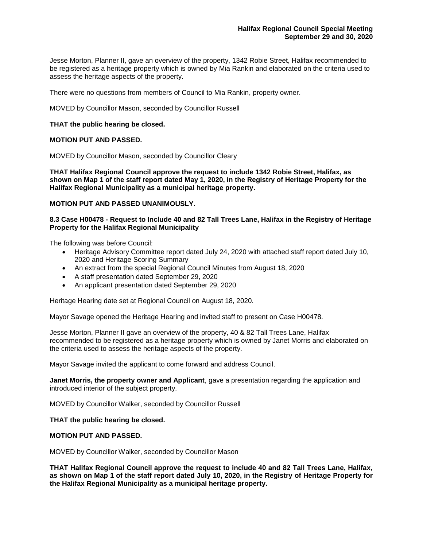Jesse Morton, Planner II, gave an overview of the property, 1342 Robie Street, Halifax recommended to be registered as a heritage property which is owned by Mia Rankin and elaborated on the criteria used to assess the heritage aspects of the property.

There were no questions from members of Council to Mia Rankin, property owner.

MOVED by Councillor Mason, seconded by Councillor Russell

## **THAT the public hearing be closed.**

## **MOTION PUT AND PASSED.**

MOVED by Councillor Mason, seconded by Councillor Cleary

**THAT Halifax Regional Council approve the request to include 1342 Robie Street, Halifax, as shown on Map 1 of the staff report dated May 1, 2020, in the Registry of Heritage Property for the Halifax Regional Municipality as a municipal heritage property.**

## **MOTION PUT AND PASSED UNANIMOUSLY.**

## **8.3 Case H00478 - Request to Include 40 and 82 Tall Trees Lane, Halifax in the Registry of Heritage Property for the Halifax Regional Municipality**

The following was before Council:

- Heritage Advisory Committee report dated July 24, 2020 with attached staff report dated July 10. 2020 and Heritage Scoring Summary
- An extract from the special Regional Council Minutes from August 18, 2020
- A staff presentation dated September 29, 2020
- An applicant presentation dated September 29, 2020

Heritage Hearing date set at Regional Council on August 18, 2020.

Mayor Savage opened the Heritage Hearing and invited staff to present on Case H00478.

Jesse Morton, Planner II gave an overview of the property, 40 & 82 Tall Trees Lane, Halifax recommended to be registered as a heritage property which is owned by Janet Morris and elaborated on the criteria used to assess the heritage aspects of the property.

Mayor Savage invited the applicant to come forward and address Council.

**Janet Morris, the property owner and Applicant**, gave a presentation regarding the application and introduced interior of the subject property.

MOVED by Councillor Walker, seconded by Councillor Russell

**THAT the public hearing be closed.** 

#### **MOTION PUT AND PASSED.**

MOVED by Councillor Walker, seconded by Councillor Mason

**THAT Halifax Regional Council approve the request to include 40 and 82 Tall Trees Lane, Halifax, as shown on Map 1 of the staff report dated July 10, 2020, in the Registry of Heritage Property for the Halifax Regional Municipality as a municipal heritage property.**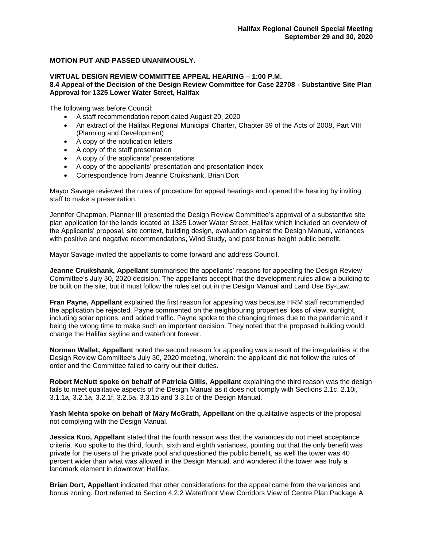# **MOTION PUT AND PASSED UNANIMOUSLY.**

# **VIRTUAL DESIGN REVIEW COMMITTEE APPEAL HEARING – 1:00 P.M.**

## **8.4 Appeal of the Decision of the Design Review Committee for Case 22708 - Substantive Site Plan Approval for 1325 Lower Water Street, Halifax**

The following was before Council:

- A staff recommendation report dated August 20, 2020
- An extract of the Halifax Regional Municipal Charter, Chapter 39 of the Acts of 2008, Part VIII (Planning and Development)
- A copy of the notification letters
- A copy of the staff presentation
- A copy of the applicants' presentations
- A copy of the appellants' presentation and presentation index
- Correspondence from Jeanne Cruikshank, Brian Dort

Mayor Savage reviewed the rules of procedure for appeal hearings and opened the hearing by inviting staff to make a presentation.

Jennifer Chapman, Planner III presented the Design Review Committee's approval of a substantive site plan application for the lands located at 1325 Lower Water Street, Halifax which included an overview of the Applicants' proposal, site context, building design, evaluation against the Design Manual, variances with positive and negative recommendations, Wind Study, and post bonus height public benefit.

Mayor Savage invited the appellants to come forward and address Council.

**Jeanne Cruikshank, Appellant** summarised the appellants' reasons for appealing the Design Review Committee's July 30, 2020 decision. The appellants accept that the development rules allow a building to be built on the site, but it must follow the rules set out in the Design Manual and Land Use By-Law.

**Fran Payne, Appellant** explained the first reason for appealing was because HRM staff recommended the application be rejected. Payne commented on the neighbouring properties' loss of view, sunlight, including solar options, and added traffic. Payne spoke to the changing times due to the pandemic and it being the wrong time to make such an important decision. They noted that the proposed building would change the Halifax skyline and waterfront forever.

**Norman Wallet, Appellant** noted the second reason for appealing was a result of the irregularities at the Design Review Committee's July 30, 2020 meeting, wherein: the applicant did not follow the rules of order and the Committee failed to carry out their duties.

**Robert McNutt spoke on behalf of Patricia Gillis, Appellant** explaining the third reason was the design fails to meet qualitative aspects of the Design Manual as it does not comply with Sections 2.1c, 2.10i, 3.1.1a, 3.2.1a, 3.2.1f, 3.2.5a, 3.3.1b and 3.3.1c of the Design Manual.

**Yash Mehta spoke on behalf of Mary McGrath, Appellant** on the qualitative aspects of the proposal not complying with the Design Manual.

**Jessica Kuo, Appellant** stated that the fourth reason was that the variances do not meet acceptance criteria. Kuo spoke to the third, fourth, sixth and eighth variances, pointing out that the only benefit was private for the users of the private pool and questioned the public benefit, as well the tower was 40 percent wider than what was allowed in the Design Manual, and wondered if the tower was truly a landmark element in downtown Halifax.

**Brian Dort, Appellant** indicated that other considerations for the appeal came from the variances and bonus zoning. Dort referred to Section 4.2.2 Waterfront View Corridors View of Centre Plan Package A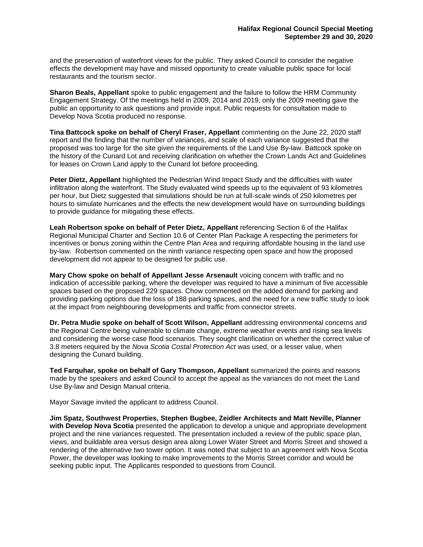and the preservation of waterfront views for the public. They asked Council to consider the negative effects the development may have and missed opportunity to create valuable public space for local restaurants and the tourism sector.

**Sharon Beals, Appellant** spoke to public engagement and the failure to follow the HRM Community Engagement Strategy. Of the meetings held in 2009, 2014 and 2019, only the 2009 meeting gave the public an opportunity to ask questions and provide input. Public requests for consultation made to Develop Nova Scotia produced no response.

**Tina Battcock spoke on behalf of Cheryl Fraser, Appellant** commenting on the June 22, 2020 staff report and the finding that the number of variances, and scale of each variance suggested that the proposed was too large for the site given the requirements of the Land Use By-law. Battcock spoke on the history of the Cunard Lot and receiving clarification on whether the Crown Lands Act and Guidelines for leases on Crown Land apply to the Cunard lot before proceeding.

**Peter Dietz, Appellant** highlighted the Pedestrian Wind Impact Study and the difficulties with water infiltration along the waterfront. The Study evaluated wind speeds up to the equivalent of 93 kilometres per hour, but Dietz suggested that simulations should be run at full-scale winds of 250 kilometres per hours to simulate hurricanes and the effects the new development would have on surrounding buildings to provide guidance for mitigating these effects.

**Leah Robertson spoke on behalf of Peter Dietz, Appellant** referencing Section 6 of the Halifax Regional Municipal Charter and Section 10.6 of Center Plan Package A respecting the perimeters for incentives or bonus zoning within the Centre Plan Area and requiring affordable housing in the land use by-law. Robertson commented on the ninth variance respecting open space and how the proposed development did not appear to be designed for public use.

**Mary Chow spoke on behalf of Appellant Jesse Arsenault** voicing concern with traffic and no indication of accessible parking, where the developer was required to have a minimum of five accessible spaces based on the proposed 229 spaces. Chow commented on the added demand for parking and providing parking options due the loss of 188 parking spaces, and the need for a new traffic study to look at the impact from neighbouring developments and traffic from connector streets.

**Dr. Petra Mudie spoke on behalf of Scott Wilson, Appellant** addressing environmental concerns and the Regional Centre being vulnerable to climate change, extreme weather events and rising sea levels and considering the worse case flood scenarios. They sought clarification on whether the correct value of 3.8 meters required by the *Nova Scotia Costal Protection Act* was used, or a lesser value, when designing the Cunard building.

**Ted Farquhar, spoke on behalf of Gary Thompson, Appellant** summarized the points and reasons made by the speakers and asked Council to accept the appeal as the variances do not meet the Land Use By-law and Design Manual criteria.

Mayor Savage invited the applicant to address Council.

**Jim Spatz, Southwest Properties, Stephen Bugbee, Zeidler Architects and Matt Neville, Planner with Develop Nova Scotia** presented the application to develop a unique and appropriate development project and the nine variances requested. The presentation included a review of the public space plan, views, and buildable area versus design area along Lower Water Street and Morris Street and showed a rendering of the alternative two tower option. It was noted that subject to an agreement with Nova Scotia Power, the developer was looking to make improvements to the Morris Street corridor and would be seeking public input. The Applicants responded to questions from Council.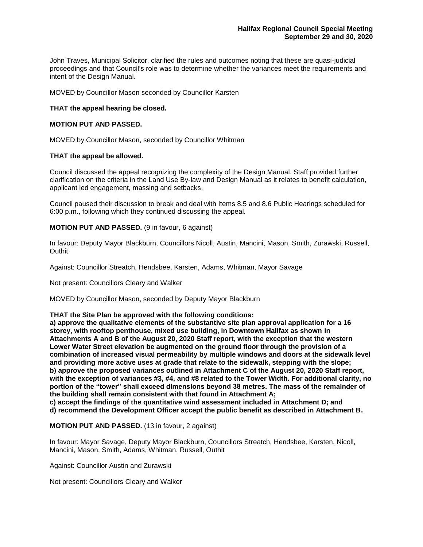John Traves, Municipal Solicitor, clarified the rules and outcomes noting that these are quasi-judicial proceedings and that Council's role was to determine whether the variances meet the requirements and intent of the Design Manual.

MOVED by Councillor Mason seconded by Councillor Karsten

## **THAT the appeal hearing be closed.**

## **MOTION PUT AND PASSED.**

MOVED by Councillor Mason, seconded by Councillor Whitman

## **THAT the appeal be allowed.**

Council discussed the appeal recognizing the complexity of the Design Manual. Staff provided further clarification on the criteria in the Land Use By-law and Design Manual as it relates to benefit calculation, applicant led engagement, massing and setbacks.

Council paused their discussion to break and deal with Items 8.5 and 8.6 Public Hearings scheduled for 6:00 p.m., following which they continued discussing the appeal.

## **MOTION PUT AND PASSED.** (9 in favour, 6 against)

In favour: Deputy Mayor Blackburn, Councillors Nicoll, Austin, Mancini, Mason, Smith, Zurawski, Russell, Outhit

Against: Councillor Streatch, Hendsbee, Karsten, Adams, Whitman, Mayor Savage

Not present: Councillors Cleary and Walker

MOVED by Councillor Mason, seconded by Deputy Mayor Blackburn

#### **THAT the Site Plan be approved with the following conditions:**

**a) approve the qualitative elements of the substantive site plan approval application for a 16 storey, with rooftop penthouse, mixed use building, in Downtown Halifax as shown in Attachments A and B of the August 20, 2020 Staff report, with the exception that the western Lower Water Street elevation be augmented on the ground floor through the provision of a combination of increased visual permeability by multiple windows and doors at the sidewalk level and providing more active uses at grade that relate to the sidewalk, stepping with the slope; b) approve the proposed variances outlined in Attachment C of the August 20, 2020 Staff report, with the exception of variances #3, #4, and #8 related to the Tower Width. For additional clarity, no portion of the "tower" shall exceed dimensions beyond 38 metres. The mass of the remainder of the building shall remain consistent with that found in Attachment A; c) accept the findings of the quantitative wind assessment included in Attachment D; and**

**d) recommend the Development Officer accept the public benefit as described in Attachment B.**

**MOTION PUT AND PASSED.** (13 in favour, 2 against)

In favour: Mayor Savage, Deputy Mayor Blackburn, Councillors Streatch, Hendsbee, Karsten, Nicoll, Mancini, Mason, Smith, Adams, Whitman, Russell, Outhit

Against: Councillor Austin and Zurawski

Not present: Councillors Cleary and Walker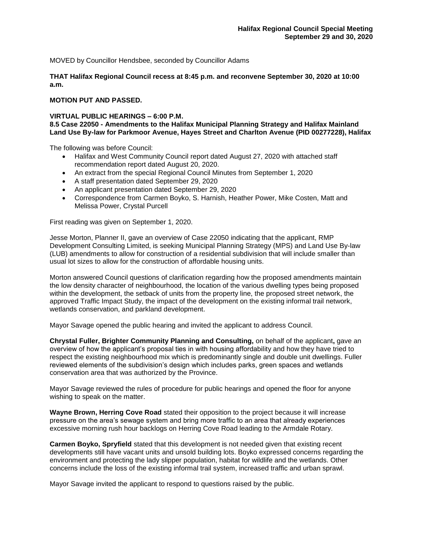MOVED by Councillor Hendsbee, seconded by Councillor Adams

**THAT Halifax Regional Council recess at 8:45 p.m. and reconvene September 30, 2020 at 10:00 a.m.**

# **MOTION PUT AND PASSED.**

# **VIRTUAL PUBLIC HEARINGS – 6:00 P.M.**

## **8.5 Case 22050 - Amendments to the Halifax Municipal Planning Strategy and Halifax Mainland Land Use By-law for Parkmoor Avenue, Hayes Street and Charlton Avenue (PID 00277228), Halifax**

The following was before Council:

- Halifax and West Community Council report dated August 27, 2020 with attached staff recommendation report dated August 20, 2020.
- An extract from the special Regional Council Minutes from September 1, 2020
- A staff presentation dated September 29, 2020
- An applicant presentation dated September 29, 2020
- Correspondence from Carmen Boyko, S. Harnish, Heather Power, Mike Costen, Matt and Melissa Power, Crystal Purcell

First reading was given on September 1, 2020.

Jesse Morton, Planner II, gave an overview of Case 22050 indicating that the applicant, RMP Development Consulting Limited, is seeking Municipal Planning Strategy (MPS) and Land Use By-law (LUB) amendments to allow for construction of a residential subdivision that will include smaller than usual lot sizes to allow for the construction of affordable housing units.

Morton answered Council questions of clarification regarding how the proposed amendments maintain the low density character of neighbourhood, the location of the various dwelling types being proposed within the development, the setback of units from the property line, the proposed street network, the approved Traffic Impact Study, the impact of the development on the existing informal trail network, wetlands conservation, and parkland development.

Mayor Savage opened the public hearing and invited the applicant to address Council.

**Chrystal Fuller, Brighter Community Planning and Consulting,** on behalf of the applicant**,** gave an overview of how the applicant's proposal ties in with housing affordability and how they have tried to respect the existing neighbourhood mix which is predominantly single and double unit dwellings. Fuller reviewed elements of the subdivision's design which includes parks, green spaces and wetlands conservation area that was authorized by the Province.

Mayor Savage reviewed the rules of procedure for public hearings and opened the floor for anyone wishing to speak on the matter.

**Wayne Brown, Herring Cove Road** stated their opposition to the project because it will increase pressure on the area's sewage system and bring more traffic to an area that already experiences excessive morning rush hour backlogs on Herring Cove Road leading to the Armdale Rotary.

**Carmen Boyko, Spryfield** stated that this development is not needed given that existing recent developments still have vacant units and unsold building lots. Boyko expressed concerns regarding the environment and protecting the lady slipper population, habitat for wildlife and the wetlands. Other concerns include the loss of the existing informal trail system, increased traffic and urban sprawl.

Mayor Savage invited the applicant to respond to questions raised by the public.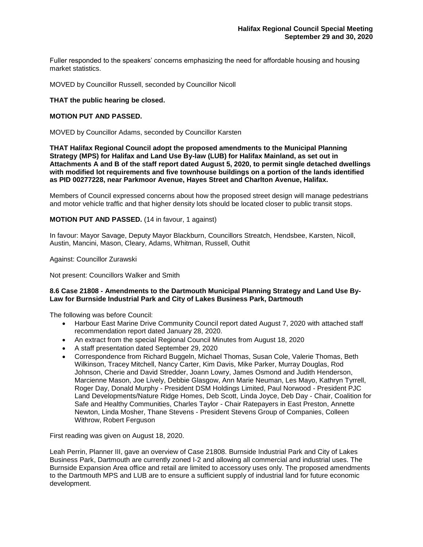Fuller responded to the speakers' concerns emphasizing the need for affordable housing and housing market statistics.

MOVED by Councillor Russell, seconded by Councillor Nicoll

# **THAT the public hearing be closed.**

## **MOTION PUT AND PASSED.**

MOVED by Councillor Adams, seconded by Councillor Karsten

**THAT Halifax Regional Council adopt the proposed amendments to the Municipal Planning Strategy (MPS) for Halifax and Land Use By-law (LUB) for Halifax Mainland, as set out in Attachments A and B of the staff report dated August 5, 2020, to permit single detached dwellings with modified lot requirements and five townhouse buildings on a portion of the lands identified as PID 00277228, near Parkmoor Avenue, Hayes Street and Charlton Avenue, Halifax.**

Members of Council expressed concerns about how the proposed street design will manage pedestrians and motor vehicle traffic and that higher density lots should be located closer to public transit stops.

**MOTION PUT AND PASSED.** (14 in favour, 1 against)

In favour: Mayor Savage, Deputy Mayor Blackburn, Councillors Streatch, Hendsbee, Karsten, Nicoll, Austin, Mancini, Mason, Cleary, Adams, Whitman, Russell, Outhit

Against: Councillor Zurawski

Not present: Councillors Walker and Smith

## **8.6 Case 21808 - Amendments to the Dartmouth Municipal Planning Strategy and Land Use By-Law for Burnside Industrial Park and City of Lakes Business Park, Dartmouth**

The following was before Council:

- Harbour East Marine Drive Community Council report dated August 7, 2020 with attached staff recommendation report dated January 28, 2020.
- An extract from the special Regional Council Minutes from August 18, 2020
- A staff presentation dated September 29, 2020
- Correspondence from Richard Buggeln, Michael Thomas, Susan Cole, Valerie Thomas, Beth Wilkinson, Tracey Mitchell, Nancy Carter, Kim Davis, Mike Parker, Murray Douglas, Rod Johnson, Cherie and David Stredder, Joann Lowry, James Osmond and Judith Henderson, Marcienne Mason, Joe Lively, Debbie Glasgow, Ann Marie Neuman, Les Mayo, Kathryn Tyrrell, Roger Day, Donald Murphy - President DSM Holdings Limited, Paul Norwood - President PJC Land Developments/Nature Ridge Homes, Deb Scott, Linda Joyce, Deb Day - Chair, Coalition for Safe and Healthy Communities, Charles Taylor - Chair Ratepayers in East Preston, Annette Newton, Linda Mosher, Thane Stevens - President Stevens Group of Companies, Colleen Withrow, Robert Ferguson

First reading was given on August 18, 2020.

Leah Perrin, Planner III, gave an overview of Case 21808. Burnside Industrial Park and City of Lakes Business Park, Dartmouth are currently zoned I-2 and allowing all commercial and industrial uses. The Burnside Expansion Area office and retail are limited to accessory uses only. The proposed amendments to the Dartmouth MPS and LUB are to ensure a sufficient supply of industrial land for future economic development.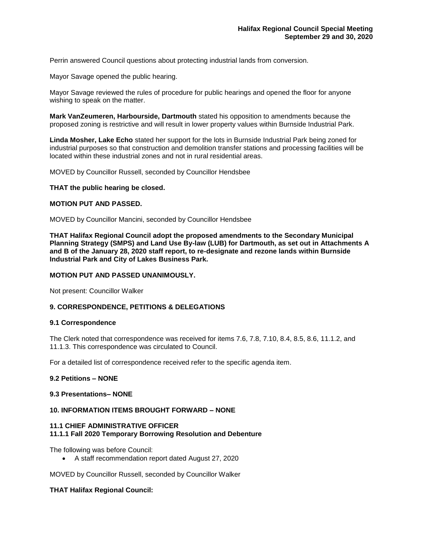Perrin answered Council questions about protecting industrial lands from conversion.

Mayor Savage opened the public hearing.

Mayor Savage reviewed the rules of procedure for public hearings and opened the floor for anyone wishing to speak on the matter.

**Mark VanZeumeren, Harbourside, Dartmouth** stated his opposition to amendments because the proposed zoning is restrictive and will result in lower property values within Burnside Industrial Park.

**Linda Mosher, Lake Echo** stated her support for the lots in Burnside Industrial Park being zoned for industrial purposes so that construction and demolition transfer stations and processing facilities will be located within these industrial zones and not in rural residential areas.

MOVED by Councillor Russell, seconded by Councillor Hendsbee

## **THAT the public hearing be closed.**

## **MOTION PUT AND PASSED.**

MOVED by Councillor Mancini, seconded by Councillor Hendsbee

**THAT Halifax Regional Council adopt the proposed amendments to the Secondary Municipal Planning Strategy (SMPS) and Land Use By-law (LUB) for Dartmouth, as set out in Attachments A and B of the January 28, 2020 staff report, to re-designate and rezone lands within Burnside Industrial Park and City of Lakes Business Park.**

## **MOTION PUT AND PASSED UNANIMOUSLY.**

Not present: Councillor Walker

## **9. CORRESPONDENCE, PETITIONS & DELEGATIONS**

#### **9.1 Correspondence**

The Clerk noted that correspondence was received for items 7.6, 7.8, 7.10, 8.4, 8.5, 8.6, 11.1.2, and 11.1.3. This correspondence was circulated to Council.

For a detailed list of correspondence received refer to the specific agenda item.

## **9.2 Petitions – NONE**

## **9.3 Presentations– NONE**

# **10. INFORMATION ITEMS BROUGHT FORWARD – NONE**

# **11.1 CHIEF ADMINISTRATIVE OFFICER 11.1.1 Fall 2020 Temporary Borrowing Resolution and Debenture**

The following was before Council:

• A staff recommendation report dated August 27, 2020

MOVED by Councillor Russell, seconded by Councillor Walker

## **THAT Halifax Regional Council:**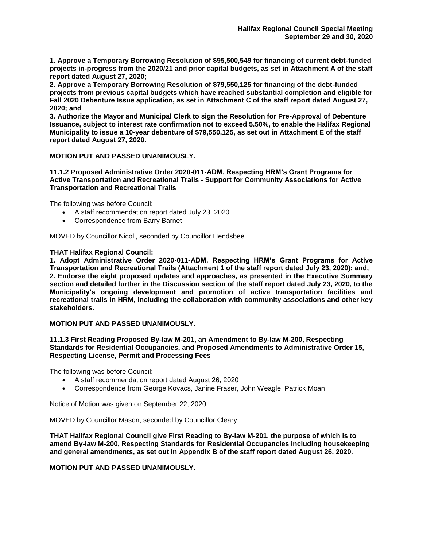**1. Approve a Temporary Borrowing Resolution of \$95,500,549 for financing of current debt-funded projects in-progress from the 2020/21 and prior capital budgets, as set in Attachment A of the staff report dated August 27, 2020;**

**2. Approve a Temporary Borrowing Resolution of \$79,550,125 for financing of the debt-funded projects from previous capital budgets which have reached substantial completion and eligible for Fall 2020 Debenture Issue application, as set in Attachment C of the staff report dated August 27, 2020; and**

**3. Authorize the Mayor and Municipal Clerk to sign the Resolution for Pre-Approval of Debenture Issuance, subject to interest rate confirmation not to exceed 5.50%, to enable the Halifax Regional Municipality to issue a 10-year debenture of \$79,550,125, as set out in Attachment E of the staff report dated August 27, 2020.**

# **MOTION PUT AND PASSED UNANIMOUSLY.**

**11.1.2 Proposed Administrative Order 2020-011-ADM, Respecting HRM's Grant Programs for Active Transportation and Recreational Trails - Support for Community Associations for Active Transportation and Recreational Trails**

The following was before Council:

- A staff recommendation report dated July 23, 2020
- Correspondence from Barry Barnet

MOVED by Councillor Nicoll, seconded by Councillor Hendsbee

# **THAT Halifax Regional Council:**

**1. Adopt Administrative Order 2020-011-ADM, Respecting HRM's Grant Programs for Active Transportation and Recreational Trails (Attachment 1 of the staff report dated July 23, 2020); and, 2. Endorse the eight proposed updates and approaches, as presented in the Executive Summary section and detailed further in the Discussion section of the staff report dated July 23, 2020, to the Municipality's ongoing development and promotion of active transportation facilities and recreational trails in HRM, including the collaboration with community associations and other key stakeholders.**

# **MOTION PUT AND PASSED UNANIMOUSLY.**

## **11.1.3 First Reading Proposed By-law M-201, an Amendment to By-law M-200, Respecting Standards for Residential Occupancies, and Proposed Amendments to Administrative Order 15, Respecting License, Permit and Processing Fees**

The following was before Council:

- A staff recommendation report dated August 26, 2020
- Correspondence from George Kovacs, Janine Fraser, John Weagle, Patrick Moan

Notice of Motion was given on September 22, 2020

MOVED by Councillor Mason, seconded by Councillor Cleary

**THAT Halifax Regional Council give First Reading to By-law M-201, the purpose of which is to amend By-law M-200, Respecting Standards for Residential Occupancies including housekeeping and general amendments, as set out in Appendix B of the staff report dated August 26, 2020.**

**MOTION PUT AND PASSED UNANIMOUSLY.**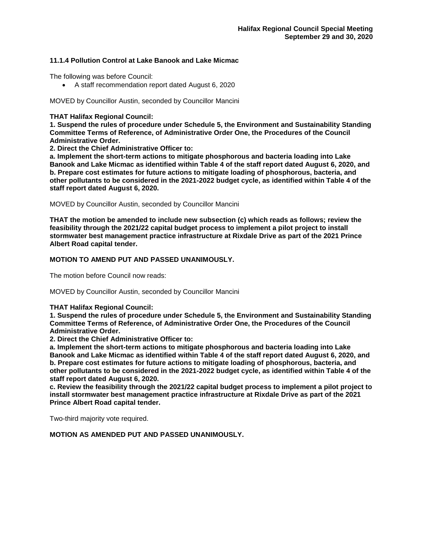# **11.1.4 Pollution Control at Lake Banook and Lake Micmac**

The following was before Council:

• A staff recommendation report dated August 6, 2020

MOVED by Councillor Austin, seconded by Councillor Mancini

# **THAT Halifax Regional Council:**

**1. Suspend the rules of procedure under Schedule 5, the Environment and Sustainability Standing Committee Terms of Reference, of Administrative Order One, the Procedures of the Council Administrative Order.**

**2. Direct the Chief Administrative Officer to:**

**a. Implement the short-term actions to mitigate phosphorous and bacteria loading into Lake Banook and Lake Micmac as identified within Table 4 of the staff report dated August 6, 2020, and b. Prepare cost estimates for future actions to mitigate loading of phosphorous, bacteria, and other pollutants to be considered in the 2021-2022 budget cycle, as identified within Table 4 of the staff report dated August 6, 2020.**

MOVED by Councillor Austin, seconded by Councillor Mancini

**THAT the motion be amended to include new subsection (c) which reads as follows; review the feasibility through the 2021/22 capital budget process to implement a pilot project to install stormwater best management practice infrastructure at Rixdale Drive as part of the 2021 Prince Albert Road capital tender.**

# **MOTION TO AMEND PUT AND PASSED UNANIMOUSLY.**

The motion before Council now reads:

MOVED by Councillor Austin, seconded by Councillor Mancini

## **THAT Halifax Regional Council:**

**1. Suspend the rules of procedure under Schedule 5, the Environment and Sustainability Standing Committee Terms of Reference, of Administrative Order One, the Procedures of the Council Administrative Order.**

**2. Direct the Chief Administrative Officer to:**

**a. Implement the short-term actions to mitigate phosphorous and bacteria loading into Lake Banook and Lake Micmac as identified within Table 4 of the staff report dated August 6, 2020, and b. Prepare cost estimates for future actions to mitigate loading of phosphorous, bacteria, and other pollutants to be considered in the 2021-2022 budget cycle, as identified within Table 4 of the staff report dated August 6, 2020.**

**c. Review the feasibility through the 2021/22 capital budget process to implement a pilot project to install stormwater best management practice infrastructure at Rixdale Drive as part of the 2021 Prince Albert Road capital tender.**

Two-third majority vote required.

**MOTION AS AMENDED PUT AND PASSED UNANIMOUSLY.**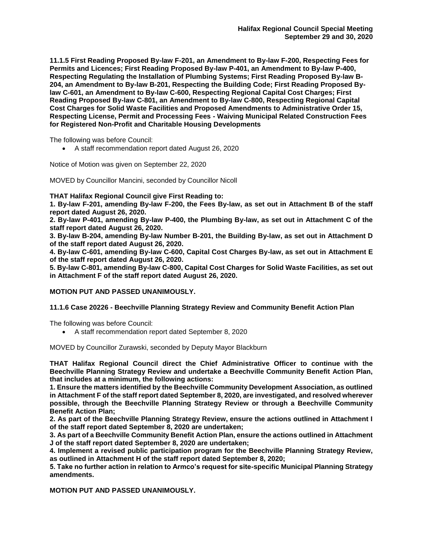**11.1.5 First Reading Proposed By-law F-201, an Amendment to By-law F-200, Respecting Fees for Permits and Licences; First Reading Proposed By-law P-401, an Amendment to By-law P-400, Respecting Regulating the Installation of Plumbing Systems; First Reading Proposed By-law B-204, an Amendment to By-law B-201, Respecting the Building Code; First Reading Proposed Bylaw C-601, an Amendment to By-law C-600, Respecting Regional Capital Cost Charges; First Reading Proposed By-law C-801, an Amendment to By-law C-800, Respecting Regional Capital Cost Charges for Solid Waste Facilities and Proposed Amendments to Administrative Order 15, Respecting License, Permit and Processing Fees - Waiving Municipal Related Construction Fees for Registered Non-Profit and Charitable Housing Developments**

The following was before Council:

• A staff recommendation report dated August 26, 2020

Notice of Motion was given on September 22, 2020

MOVED by Councillor Mancini, seconded by Councillor Nicoll

**THAT Halifax Regional Council give First Reading to:**

**1. By-law F-201, amending By-law F-200, the Fees By-law, as set out in Attachment B of the staff report dated August 26, 2020.**

**2. By-law P-401, amending By-law P-400, the Plumbing By-law, as set out in Attachment C of the staff report dated August 26, 2020.**

**3. By-law B-204, amending By-law Number B-201, the Building By-law, as set out in Attachment D of the staff report dated August 26, 2020.** 

**4. By-law C-601, amending By-law C-600, Capital Cost Charges By-law, as set out in Attachment E of the staff report dated August 26, 2020.**

**5. By-law C-801, amending By-law C-800, Capital Cost Charges for Solid Waste Facilities, as set out in Attachment F of the staff report dated August 26, 2020.**

## **MOTION PUT AND PASSED UNANIMOUSLY.**

## **11.1.6 Case 20226 - Beechville Planning Strategy Review and Community Benefit Action Plan**

The following was before Council:

• A staff recommendation report dated September 8, 2020

MOVED by Councillor Zurawski, seconded by Deputy Mayor Blackburn

**THAT Halifax Regional Council direct the Chief Administrative Officer to continue with the Beechville Planning Strategy Review and undertake a Beechville Community Benefit Action Plan, that includes at a minimum, the following actions:** 

**1. Ensure the matters identified by the Beechville Community Development Association, as outlined in Attachment F of the staff report dated September 8, 2020, are investigated, and resolved wherever possible, through the Beechville Planning Strategy Review or through a Beechville Community Benefit Action Plan;**

**2. As part of the Beechville Planning Strategy Review, ensure the actions outlined in Attachment I of the staff report dated September 8, 2020 are undertaken;**

**3. As part of a Beechville Community Benefit Action Plan, ensure the actions outlined in Attachment J of the staff report dated September 8, 2020 are undertaken;**

**4. Implement a revised public participation program for the Beechville Planning Strategy Review, as outlined in Attachment H of the staff report dated September 8, 2020;**

**5. Take no further action in relation to Armco's request for site-specific Municipal Planning Strategy amendments.**

**MOTION PUT AND PASSED UNANIMOUSLY.**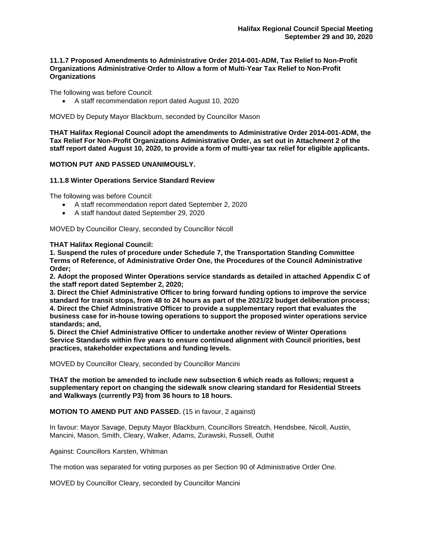# **11.1.7 Proposed Amendments to Administrative Order 2014-001-ADM, Tax Relief to Non-Profit Organizations Administrative Order to Allow a form of Multi-Year Tax Relief to Non-Profit Organizations**

The following was before Council:

• A staff recommendation report dated August 10, 2020

MOVED by Deputy Mayor Blackburn, seconded by Councillor Mason

**THAT Halifax Regional Council adopt the amendments to Administrative Order 2014-001-ADM, the Tax Relief For Non-Profit Organizations Administrative Order, as set out in Attachment 2 of the staff report dated August 10, 2020, to provide a form of multi-year tax relief for eligible applicants.**

## **MOTION PUT AND PASSED UNANIMOUSLY.**

## **11.1.8 Winter Operations Service Standard Review**

The following was before Council:

- A staff recommendation report dated September 2, 2020
- A staff handout dated September 29, 2020

MOVED by Councillor Cleary, seconded by Councillor Nicoll

## **THAT Halifax Regional Council:**

**1. Suspend the rules of procedure under Schedule 7, the Transportation Standing Committee Terms of Reference, of Administrative Order One, the Procedures of the Council Administrative Order;**

**2. Adopt the proposed Winter Operations service standards as detailed in attached Appendix C of the staff report dated September 2, 2020;**

**3. Direct the Chief Administrative Officer to bring forward funding options to improve the service standard for transit stops, from 48 to 24 hours as part of the 2021/22 budget deliberation process; 4. Direct the Chief Administrative Officer to provide a supplementary report that evaluates the business case for in-house towing operations to support the proposed winter operations service standards; and,**

**5. Direct the Chief Administrative Officer to undertake another review of Winter Operations Service Standards within five years to ensure continued alignment with Council priorities, best practices, stakeholder expectations and funding levels.**

MOVED by Councillor Cleary, seconded by Councillor Mancini

**THAT the motion be amended to include new subsection 6 which reads as follows; request a supplementary report on changing the sidewalk snow clearing standard for Residential Streets and Walkways (currently P3) from 36 hours to 18 hours.**

## **MOTION TO AMEND PUT AND PASSED.** (15 in favour, 2 against)

In favour: Mayor Savage, Deputy Mayor Blackburn, Councillors Streatch, Hendsbee, Nicoll, Austin, Mancini, Mason, Smith, Cleary, Walker, Adams, Zurawski, Russell, Outhit

Against: Councillors Karsten, Whitman

The motion was separated for voting purposes as per Section 90 of Administrative Order One.

MOVED by Councillor Cleary, seconded by Councillor Mancini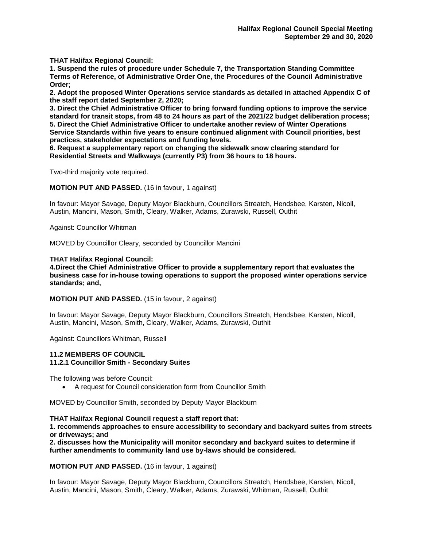**THAT Halifax Regional Council:**

**1. Suspend the rules of procedure under Schedule 7, the Transportation Standing Committee Terms of Reference, of Administrative Order One, the Procedures of the Council Administrative Order;**

**2. Adopt the proposed Winter Operations service standards as detailed in attached Appendix C of the staff report dated September 2, 2020;**

**3. Direct the Chief Administrative Officer to bring forward funding options to improve the service standard for transit stops, from 48 to 24 hours as part of the 2021/22 budget deliberation process; 5. Direct the Chief Administrative Officer to undertake another review of Winter Operations Service Standards within five years to ensure continued alignment with Council priorities, best practices, stakeholder expectations and funding levels.**

**6. Request a supplementary report on changing the sidewalk snow clearing standard for Residential Streets and Walkways (currently P3) from 36 hours to 18 hours.**

Two-third majority vote required.

**MOTION PUT AND PASSED.** (16 in favour, 1 against)

In favour: Mayor Savage, Deputy Mayor Blackburn, Councillors Streatch, Hendsbee, Karsten, Nicoll, Austin, Mancini, Mason, Smith, Cleary, Walker, Adams, Zurawski, Russell, Outhit

Against: Councillor Whitman

MOVED by Councillor Cleary, seconded by Councillor Mancini

## **THAT Halifax Regional Council:**

**4.Direct the Chief Administrative Officer to provide a supplementary report that evaluates the business case for in-house towing operations to support the proposed winter operations service standards; and,**

**MOTION PUT AND PASSED.** (15 in favour, 2 against)

In favour: Mayor Savage, Deputy Mayor Blackburn, Councillors Streatch, Hendsbee, Karsten, Nicoll, Austin, Mancini, Mason, Smith, Cleary, Walker, Adams, Zurawski, Outhit

Against: Councillors Whitman, Russell

## **11.2 MEMBERS OF COUNCIL**

## **11.2.1 Councillor Smith - Secondary Suites**

The following was before Council:

• A request for Council consideration form from Councillor Smith

MOVED by Councillor Smith, seconded by Deputy Mayor Blackburn

## **THAT Halifax Regional Council request a staff report that:**

**1. recommends approaches to ensure accessibility to secondary and backyard suites from streets or driveways; and** 

**2. discusses how the Municipality will monitor secondary and backyard suites to determine if further amendments to community land use by-laws should be considered.**

#### **MOTION PUT AND PASSED.** (16 in favour, 1 against)

In favour: Mayor Savage, Deputy Mayor Blackburn, Councillors Streatch, Hendsbee, Karsten, Nicoll, Austin, Mancini, Mason, Smith, Cleary, Walker, Adams, Zurawski, Whitman, Russell, Outhit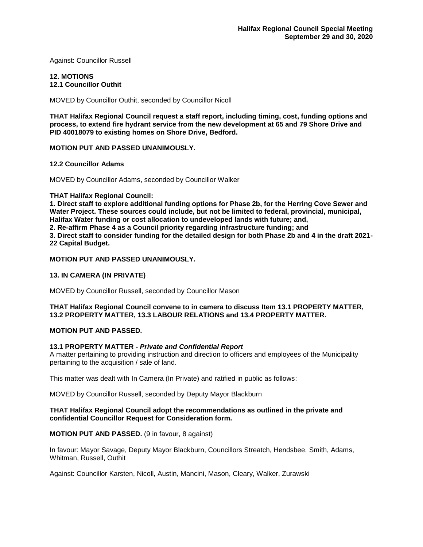Against: Councillor Russell

## **12. MOTIONS 12.1 Councillor Outhit**

MOVED by Councillor Outhit, seconded by Councillor Nicoll

**THAT Halifax Regional Council request a staff report, including timing, cost, funding options and process, to extend fire hydrant service from the new development at 65 and 79 Shore Drive and PID 40018079 to existing homes on Shore Drive, Bedford.**

# **MOTION PUT AND PASSED UNANIMOUSLY.**

## **12.2 Councillor Adams**

MOVED by Councillor Adams, seconded by Councillor Walker

## **THAT Halifax Regional Council:**

**1. Direct staff to explore additional funding options for Phase 2b, for the Herring Cove Sewer and Water Project. These sources could include, but not be limited to federal, provincial, municipal, Halifax Water funding or cost allocation to undeveloped lands with future; and,**

**2. Re-affirm Phase 4 as a Council priority regarding infrastructure funding; and**

**3. Direct staff to consider funding for the detailed design for both Phase 2b and 4 in the draft 2021- 22 Capital Budget.**

## **MOTION PUT AND PASSED UNANIMOUSLY.**

# **13. IN CAMERA (IN PRIVATE)**

MOVED by Councillor Russell, seconded by Councillor Mason

# **THAT Halifax Regional Council convene to in camera to discuss Item 13.1 PROPERTY MATTER, 13.2 PROPERTY MATTER, 13.3 LABOUR RELATIONS and 13.4 PROPERTY MATTER.**

## **MOTION PUT AND PASSED.**

## **13.1 PROPERTY MATTER -** *Private and Confidential Report*

A matter pertaining to providing instruction and direction to officers and employees of the Municipality pertaining to the acquisition / sale of land.

This matter was dealt with In Camera (In Private) and ratified in public as follows:

MOVED by Councillor Russell, seconded by Deputy Mayor Blackburn

## **THAT Halifax Regional Council adopt the recommendations as outlined in the private and confidential Councillor Request for Consideration form.**

## **MOTION PUT AND PASSED.** (9 in favour, 8 against)

In favour: Mayor Savage, Deputy Mayor Blackburn, Councillors Streatch, Hendsbee, Smith, Adams, Whitman, Russell, Outhit

Against: Councillor Karsten, Nicoll, Austin, Mancini, Mason, Cleary, Walker, Zurawski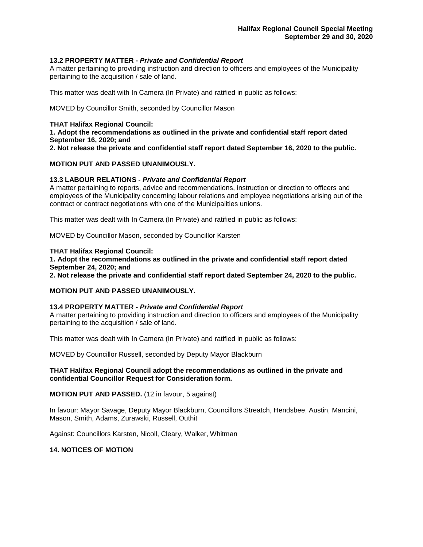## **13.2 PROPERTY MATTER -** *Private and Confidential Report*

A matter pertaining to providing instruction and direction to officers and employees of the Municipality pertaining to the acquisition / sale of land.

This matter was dealt with In Camera (In Private) and ratified in public as follows:

MOVED by Councillor Smith, seconded by Councillor Mason

## **THAT Halifax Regional Council:**

**1. Adopt the recommendations as outlined in the private and confidential staff report dated September 16, 2020; and** 

**2. Not release the private and confidential staff report dated September 16, 2020 to the public.**

## **MOTION PUT AND PASSED UNANIMOUSLY.**

## **13.3 LABOUR RELATIONS -** *Private and Confidential Report*

A matter pertaining to reports, advice and recommendations, instruction or direction to officers and employees of the Municipality concerning labour relations and employee negotiations arising out of the contract or contract negotiations with one of the Municipalities unions.

This matter was dealt with In Camera (In Private) and ratified in public as follows:

MOVED by Councillor Mason, seconded by Councillor Karsten

#### **THAT Halifax Regional Council:**

**1. Adopt the recommendations as outlined in the private and confidential staff report dated September 24, 2020; and** 

**2. Not release the private and confidential staff report dated September 24, 2020 to the public.**

## **MOTION PUT AND PASSED UNANIMOUSLY.**

## **13.4 PROPERTY MATTER -** *Private and Confidential Report*

A matter pertaining to providing instruction and direction to officers and employees of the Municipality pertaining to the acquisition / sale of land.

This matter was dealt with In Camera (In Private) and ratified in public as follows:

MOVED by Councillor Russell, seconded by Deputy Mayor Blackburn

# **THAT Halifax Regional Council adopt the recommendations as outlined in the private and confidential Councillor Request for Consideration form.**

**MOTION PUT AND PASSED.** (12 in favour, 5 against)

In favour: Mayor Savage, Deputy Mayor Blackburn, Councillors Streatch, Hendsbee, Austin, Mancini, Mason, Smith, Adams, Zurawski, Russell, Outhit

Against: Councillors Karsten, Nicoll, Cleary, Walker, Whitman

## **14. NOTICES OF MOTION**